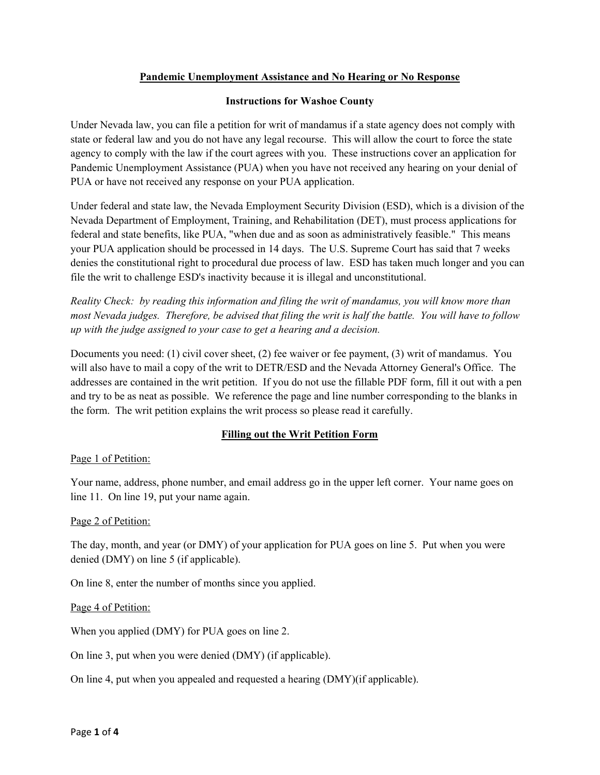# **Pandemic Unemployment Assistance and No Hearing or No Response**

### **Instructions for Washoe County**

Under Nevada law, you can file a petition for writ of mandamus if a state agency does not comply with state or federal law and you do not have any legal recourse. This will allow the court to force the state agency to comply with the law if the court agrees with you. These instructions cover an application for Pandemic Unemployment Assistance (PUA) when you have not received any hearing on your denial of PUA or have not received any response on your PUA application.

Under federal and state law, the Nevada Employment Security Division (ESD), which is a division of the Nevada Department of Employment, Training, and Rehabilitation (DET), must process applications for federal and state benefits, like PUA, "when due and as soon as administratively feasible." This means your PUA application should be processed in 14 days. The U.S. Supreme Court has said that 7 weeks denies the constitutional right to procedural due process of law. ESD has taken much longer and you can file the writ to challenge ESD's inactivity because it is illegal and unconstitutional.

*Reality Check: by reading this information and filing the writ of mandamus, you will know more than most Nevada judges. Therefore, be advised that filing the writ is half the battle. You will have to follow up with the judge assigned to your case to get a hearing and a decision.*

Documents you need: (1) civil cover sheet, (2) fee waiver or fee payment, (3) writ of mandamus. You will also have to mail a copy of the writ to DETR/ESD and the Nevada Attorney General's Office. The addresses are contained in the writ petition. If you do not use the fillable PDF form, fill it out with a pen and try to be as neat as possible. We reference the page and line number corresponding to the blanks in the form. The writ petition explains the writ process so please read it carefully.

# **Filling out the Writ Petition Form**

### Page 1 of Petition:

Your name, address, phone number, and email address go in the upper left corner. Your name goes on line 11. On line 19, put your name again.

### Page 2 of Petition:

The day, month, and year (or DMY) of your application for PUA goes on line 5. Put when you were denied (DMY) on line 5 (if applicable).

On line 8, enter the number of months since you applied.

### Page 4 of Petition:

When you applied (DMY) for PUA goes on line 2.

On line 3, put when you were denied (DMY) (if applicable).

On line 4, put when you appealed and requested a hearing (DMY)(if applicable).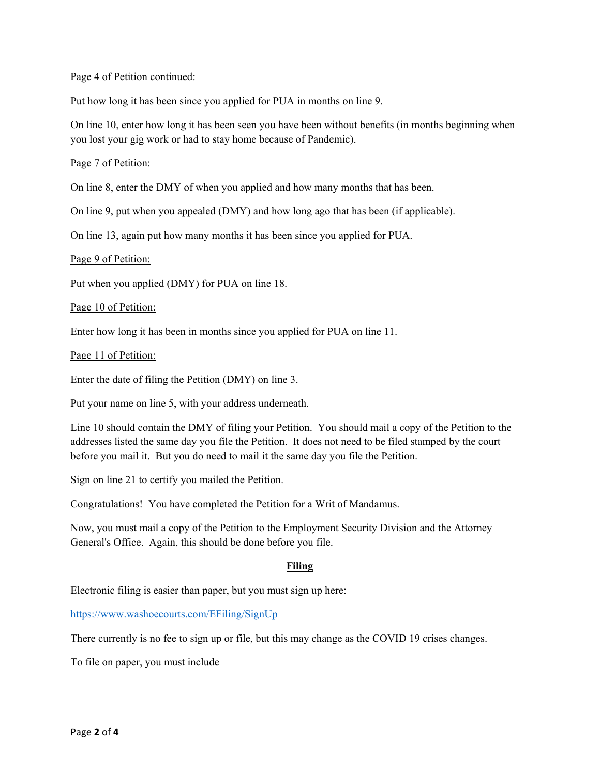#### Page 4 of Petition continued:

Put how long it has been since you applied for PUA in months on line 9.

On line 10, enter how long it has been seen you have been without benefits (in months beginning when you lost your gig work or had to stay home because of Pandemic).

#### Page 7 of Petition:

On line 8, enter the DMY of when you applied and how many months that has been.

On line 9, put when you appealed (DMY) and how long ago that has been (if applicable).

On line 13, again put how many months it has been since you applied for PUA.

#### Page 9 of Petition:

Put when you applied (DMY) for PUA on line 18.

#### Page 10 of Petition:

Enter how long it has been in months since you applied for PUA on line 11.

#### Page 11 of Petition:

Enter the date of filing the Petition (DMY) on line 3.

Put your name on line 5, with your address underneath.

Line 10 should contain the DMY of filing your Petition. You should mail a copy of the Petition to the addresses listed the same day you file the Petition. It does not need to be filed stamped by the court before you mail it. But you do need to mail it the same day you file the Petition.

Sign on line 21 to certify you mailed the Petition.

Congratulations! You have completed the Petition for a Writ of Mandamus.

Now, you must mail a copy of the Petition to the Employment Security Division and the Attorney General's Office. Again, this should be done before you file.

### **Filing**

Electronic filing is easier than paper, but you must sign up here:

<https://www.washoecourts.com/EFiling/SignUp>

There currently is no fee to sign up or file, but this may change as the COVID 19 crises changes.

To file on paper, you must include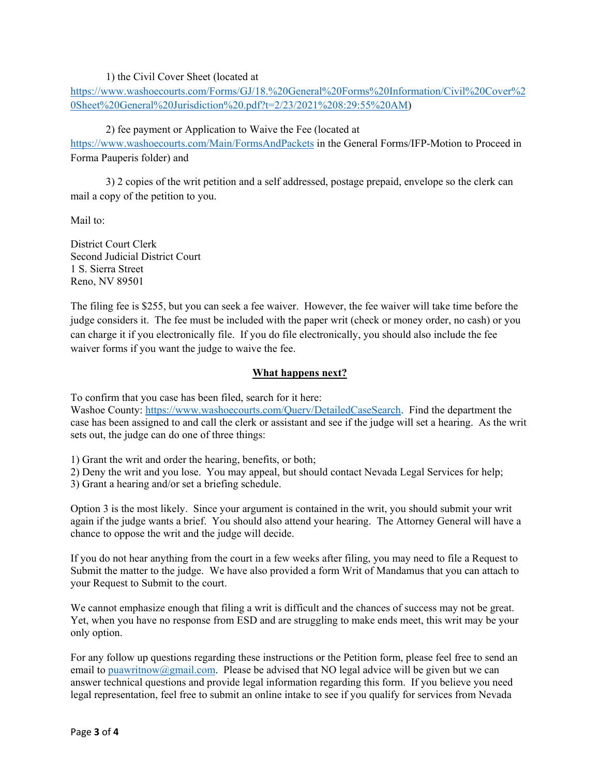### 1) the Civil Cover Sheet (located at

[https://www.washoecourts.com/Forms/GJ/18.%20General%20Forms%20Information/Civil%20Cover%2](https://www.washoecourts.com/Forms/GJ/18.%20General%20Forms%20Information/Civil%20Cover%20Sheet%20General%20Jurisdiction%20.pdf?t=2/23/2021%208:29:55%20AM) [0Sheet%20General%20Jurisdiction%20.pdf?t=2/23/2021%208:29:55%20AM\)](https://www.washoecourts.com/Forms/GJ/18.%20General%20Forms%20Information/Civil%20Cover%20Sheet%20General%20Jurisdiction%20.pdf?t=2/23/2021%208:29:55%20AM)

## 2) fee payment or Application to Waive the Fee (located at

<https://www.washoecourts.com/Main/FormsAndPackets> in the General Forms/IFP-Motion to Proceed in Forma Pauperis folder) and

3) 2 copies of the writ petition and a self addressed, postage prepaid, envelope so the clerk can mail a copy of the petition to you.

Mail to:

District Court Clerk Second Judicial District Court 1 S. Sierra Street Reno, NV 89501

The filing fee is \$255, but you can seek a fee waiver. However, the fee waiver will take time before the judge considers it. The fee must be included with the paper writ (check or money order, no cash) or you can charge it if you electronically file. If you do file electronically, you should also include the fee waiver forms if you want the judge to waive the fee.

### **What happens next?**

To confirm that you case has been filed, search for it here:

Washoe County: [https://www.washoecourts.com/Query/DetailedCaseSearch.](https://www.washoecourts.com/Query/DetailedCaseSearch) Find the department the case has been assigned to and call the clerk or assistant and see if the judge will set a hearing. As the writ sets out, the judge can do one of three things:

1) Grant the writ and order the hearing, benefits, or both;

2) Deny the writ and you lose. You may appeal, but should contact Nevada Legal Services for help;

3) Grant a hearing and/or set a briefing schedule.

Option 3 is the most likely. Since your argument is contained in the writ, you should submit your writ again if the judge wants a brief. You should also attend your hearing. The Attorney General will have a chance to oppose the writ and the judge will decide.

If you do not hear anything from the court in a few weeks after filing, you may need to file a Request to Submit the matter to the judge. We have also provided a form Writ of Mandamus that you can attach to your Request to Submit to the court.

We cannot emphasize enough that filing a writ is difficult and the chances of success may not be great. Yet, when you have no response from ESD and are struggling to make ends meet, this writ may be your only option.

For any follow up questions regarding these instructions or the Petition form, please feel free to send an email to [puawritnow@gmail.com.](mailto:puawritnow@gmail.com) Please be advised that NO legal advice will be given but we can answer technical questions and provide legal information regarding this form. If you believe you need legal representation, feel free to submit an online intake to see if you qualify for services from Nevada